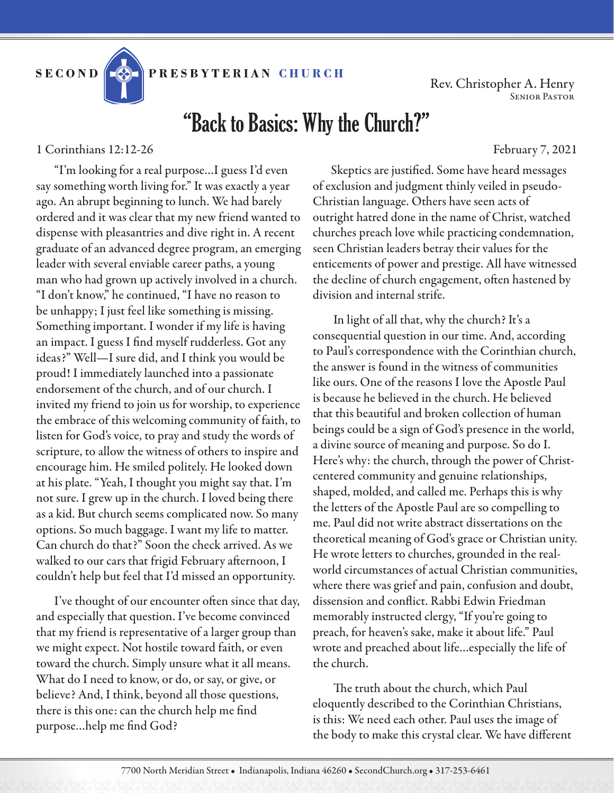PRESBYTERIAN CHURCH

Rev. Christopher A. Henry Senior Pastor

## "Back to Basics: Why the Church?"

1 Corinthians 12:12-26 February 7, 2021

"I'm looking for a real purpose…I guess I'd even say something worth living for." It was exactly a year ago. An abrupt beginning to lunch. We had barely ordered and it was clear that my new friend wanted to dispense with pleasantries and dive right in. A recent graduate of an advanced degree program, an emerging leader with several enviable career paths, a young man who had grown up actively involved in a church. "I don't know," he continued, "I have no reason to be unhappy; I just feel like something is missing. Something important. I wonder if my life is having an impact. I guess I find myself rudderless. Got any ideas?" Well—I sure did, and I think you would be proud! I immediately launched into a passionate endorsement of the church, and of our church. I invited my friend to join us for worship, to experience the embrace of this welcoming community of faith, to listen for God's voice, to pray and study the words of scripture, to allow the witness of others to inspire and encourage him. He smiled politely. He looked down at his plate. "Yeah, I thought you might say that. I'm not sure. I grew up in the church. I loved being there as a kid. But church seems complicated now. So many options. So much baggage. I want my life to matter. Can church do that?" Soon the check arrived. As we walked to our cars that frigid February afternoon, I couldn't help but feel that I'd missed an opportunity.

I've thought of our encounter often since that day, and especially that question. I've become convinced that my friend is representative of a larger group than we might expect. Not hostile toward faith, or even toward the church. Simply unsure what it all means. What do I need to know, or do, or say, or give, or believe? And, I think, beyond all those questions, there is this one: can the church help me find purpose…help me find God?

Skeptics are justified. Some have heard messages of exclusion and judgment thinly veiled in pseudo-Christian language. Others have seen acts of outright hatred done in the name of Christ, watched churches preach love while practicing condemnation, seen Christian leaders betray their values for the enticements of power and prestige. All have witnessed the decline of church engagement, often hastened by division and internal strife.

 In light of all that, why the church? It's a consequential question in our time. And, according to Paul's correspondence with the Corinthian church, the answer is found in the witness of communities like ours. One of the reasons I love the Apostle Paul is because he believed in the church. He believed that this beautiful and broken collection of human beings could be a sign of God's presence in the world, a divine source of meaning and purpose. So do I. Here's why: the church, through the power of Christcentered community and genuine relationships, shaped, molded, and called me. Perhaps this is why the letters of the Apostle Paul are so compelling to me. Paul did not write abstract dissertations on the theoretical meaning of God's grace or Christian unity. He wrote letters to churches, grounded in the realworld circumstances of actual Christian communities, where there was grief and pain, confusion and doubt, dissension and conflict. Rabbi Edwin Friedman memorably instructed clergy, "If you're going to preach, for heaven's sake, make it about life." Paul wrote and preached about life…especially the life of the church.

 The truth about the church, which Paul eloquently described to the Corinthian Christians, is this: We need each other. Paul uses the image of the body to make this crystal clear. We have different

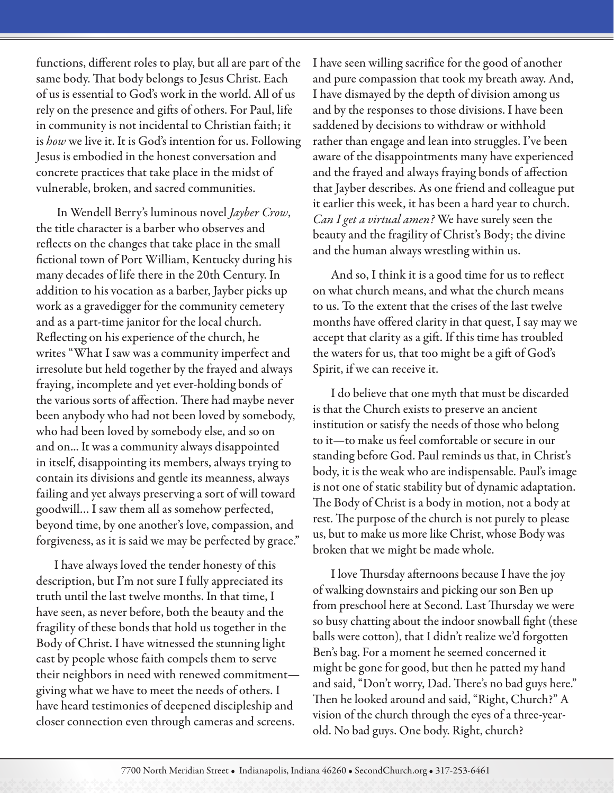functions, different roles to play, but all are part of the same body. That body belongs to Jesus Christ. Each of us is essential to God's work in the world. All of us rely on the presence and gifts of others. For Paul, life in community is not incidental to Christian faith; it is *how* we live it. It is God's intention for us. Following Jesus is embodied in the honest conversation and concrete practices that take place in the midst of vulnerable, broken, and sacred communities.

 In Wendell Berry's luminous novel *Jayber Crow*, the title character is a barber who observes and reflects on the changes that take place in the small fictional town of Port William, Kentucky during his many decades of life there in the 20th Century. In addition to his vocation as a barber, Jayber picks up work as a gravedigger for the community cemetery and as a part-time janitor for the local church. Reflecting on his experience of the church, he writes "What I saw was a community imperfect and irresolute but held together by the frayed and always fraying, incomplete and yet ever-holding bonds of the various sorts of affection. There had maybe never been anybody who had not been loved by somebody, who had been loved by somebody else, and so on and on... It was a community always disappointed in itself, disappointing its members, always trying to contain its divisions and gentle its meanness, always failing and yet always preserving a sort of will toward goodwill… I saw them all as somehow perfected, beyond time, by one another's love, compassion, and forgiveness, as it is said we may be perfected by grace."

I have always loved the tender honesty of this description, but I'm not sure I fully appreciated its truth until the last twelve months. In that time, I have seen, as never before, both the beauty and the fragility of these bonds that hold us together in the Body of Christ. I have witnessed the stunning light cast by people whose faith compels them to serve their neighbors in need with renewed commitment giving what we have to meet the needs of others. I have heard testimonies of deepened discipleship and closer connection even through cameras and screens.

I have seen willing sacrifice for the good of another and pure compassion that took my breath away. And, I have dismayed by the depth of division among us and by the responses to those divisions. I have been saddened by decisions to withdraw or withhold rather than engage and lean into struggles. I've been aware of the disappointments many have experienced and the frayed and always fraying bonds of affection that Jayber describes. As one friend and colleague put it earlier this week, it has been a hard year to church. *Can I get a virtual amen?* We have surely seen the beauty and the fragility of Christ's Body; the divine and the human always wrestling within us.

And so, I think it is a good time for us to reflect on what church means, and what the church means to us. To the extent that the crises of the last twelve months have offered clarity in that quest, I say may we accept that clarity as a gift. If this time has troubled the waters for us, that too might be a gift of God's Spirit, if we can receive it.

I do believe that one myth that must be discarded is that the Church exists to preserve an ancient institution or satisfy the needs of those who belong to it—to make us feel comfortable or secure in our standing before God. Paul reminds us that, in Christ's body, it is the weak who are indispensable. Paul's image is not one of static stability but of dynamic adaptation. The Body of Christ is a body in motion, not a body at rest. The purpose of the church is not purely to please us, but to make us more like Christ, whose Body was broken that we might be made whole.

I love Thursday afternoons because I have the joy of walking downstairs and picking our son Ben up from preschool here at Second. Last Thursday we were so busy chatting about the indoor snowball fight (these balls were cotton), that I didn't realize we'd forgotten Ben's bag. For a moment he seemed concerned it might be gone for good, but then he patted my hand and said, "Don't worry, Dad. There's no bad guys here." Then he looked around and said, "Right, Church?" A vision of the church through the eyes of a three-yearold. No bad guys. One body. Right, church?